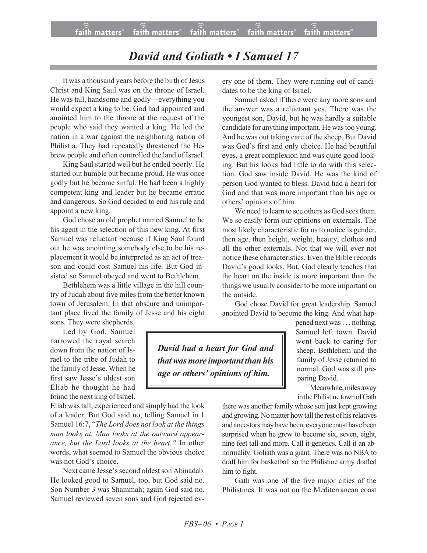## *David and Goliath • I Samuel 17*

It was a thousand years before the birth of Jesus Christ and King Saul was on the throne of Israel. He was tall, handsome and godly—everything you would expect a king to be. God had appointed and anointed him to the throne at the request of the people who said they wanted a king. He led the nation in a war against the neighboring nation of Philistia. They had repeatedly threatened the Hebrew people and often controlled the land of Israel.

King Saul started well but he ended poorly. He started out humble but became proud. He was once godly but he became sinful. He had been a highly competent king and leader but he became erratic and dangerous. So God decided to end his rule and appoint a new king.

God chose an old prophet named Samuel to be his agent in the selection of this new king. At first Samuel was reluctant because if King Saul found out he was anointing somebody else to be his replacement it would be interpreted as an act of treason and could cost Samuel his life. But God insisted so Samuel obeyed and went to Bethlehem.

Bethlehem was a little village in the hill country of Judah about five miles from the better known town of Jerusalem. In that obscure and unimportant place lived the family of Jesse and his eight sons. They were shepherds.

Led by God, Samuel narrowed the royal search down from the nation of Israel to the tribe of Judah to the family of Jesse. When he first saw Jesse's oldest son Eliab he thought he had found the next king of Israel.

Eliab was tall, experienced and simply had the look of a leader. But God said no, telling Samuel in 1 Samuel 16:7, "*The Lord does not look at the things man looks at. Man looks at the outward appearance, but the Lord looks at the heart."* In other words, what seemed to Samuel the obvious choice was not God's choice.

Next came Jesse's second oldest son Abinadab. He looked good to Samuel, too, but God said no. Son Number 3 was Shammah; again God said no. Samuel reviewed seven sons and God rejected every one of them. They were running out of candidates to be the king of Israel.

Samuel asked if there were any more sons and the answer was a reluctant yes. There was the youngest son, David, but he was hardly a suitable candidate for anything important. He was too young. And he was out taking care of the sheep. But David was God's first and only choice. He had beautiful eyes, a great complexion and was quite good looking. But his looks had little to do with this selection. God saw inside David. He was the kind of person God wanted to bless. David had a heart for God and that was more important than his age or others' opinions of him.

We need to learn to see others as God sees them. We so easily form our opinions on externals. The most likely characteristic for us to notice is gender, then age, then height, weight, beauty, clothes and all the other externals. Not that we will ever not notice these characteristics. Even the Bible records David's good looks. But, God clearly teaches that the heart on the inside is more important than the things we usually consider to be more important on the outside.

God chose David for great leadership. Samuel anointed David to become the king. And what hap-

*David had a heart for God and thatwasmore important than his age or others' opinions of him.*

pened next was . . . nothing. Samuel left town. David went back to caring for sheep. Bethlehem and the family of Jesse returned to normal. God was still preparing David.

Meanwhile, miles away in the Philistine town of Gath

there was another family whose son just kept growing and growing. No matter how tall the rest of his relatives and ancestors may have been, everyone must have been surprised when he grew to become six, seven, eight, nine feet tall and more. Call it genetics. Call it an abnormality. Goliath was a giant. There was no NBA to draft him for basketball so the Philistine army drafted him to fight.

Gath was one of the five major cities of the Philistines. It was not on the Mediterranean coast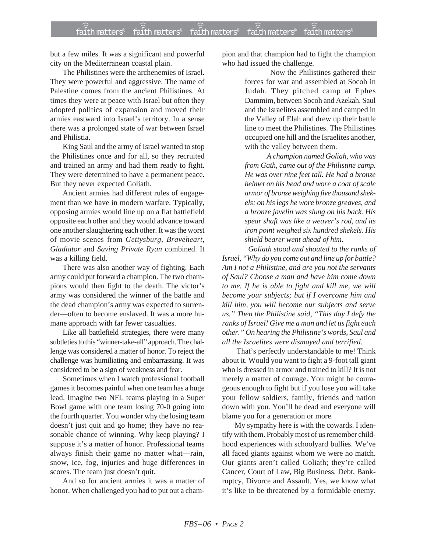but a few miles. It was a significant and powerful city on the Mediterranean coastal plain.

The Philistines were the archenemies of Israel. They were powerful and aggressive. The name of Palestine comes from the ancient Philistines. At times they were at peace with Israel but often they adopted politics of expansion and moved their armies eastward into Israel's territory. In a sense there was a prolonged state of war between Israel and Philistia.

King Saul and the army of Israel wanted to stop the Philistines once and for all, so they recruited and trained an army and had them ready to fight. They were determined to have a permanent peace. But they never expected Goliath.

Ancient armies had different rules of engagement than we have in modern warfare. Typically, opposing armies would line up on a flat battlefield opposite each other and they would advance toward one another slaughtering each other. It was the worst of movie scenes from *Gettysburg*, *Braveheart*, *Gladiator* and *Saving Private Ryan* combined. It was a killing field.

There was also another way of fighting. Each army could put forward a champion. The two champions would then fight to the death. The victor's army was considered the winner of the battle and the dead champion's army was expected to surrender—often to become enslaved. It was a more humane approach with far fewer casualties.

Like all battlefield strategies, there were many subtleties to this "winner-take-all" approach. The challenge was considered a matter of honor. To reject the challenge was humiliating and embarrassing. It was considered to be a sign of weakness and fear.

Sometimes when I watch professional football games it becomes painful when one team has a huge lead. Imagine two NFL teams playing in a Super Bowl game with one team losing 70-0 going into the fourth quarter. You wonder why the losing team doesn't just quit and go home; they have no reasonable chance of winning. Why keep playing? I suppose it's a matter of honor. Professional teams always finish their game no matter what—rain, snow, ice, fog, injuries and huge differences in scores. The team just doesn't quit.

And so for ancient armies it was a matter of honor. When challenged you had to put out a champion and that champion had to fight the champion who had issued the challenge.

> Now the Philistines gathered their forces for war and assembled at Socoh in Judah. They pitched camp at Ephes Dammim, between Socoh and Azekah. Saul and the Israelites assembled and camped in the Valley of Elah and drew up their battle line to meet the Philistines. The Philistines occupied one hill and the Israelites another, with the valley between them.

> *A champion named Goliah, who was from Gath, came out of the Philistine camp. He was over nine feet tall. He had a bronze helmet on his head and wore a coat of scale armor of bronze weighing five thousand shekels; on his legs he wore bronze greaves, and a bronze javelin was slung on his back. His spear shaft was like a weaver's rod, and its iron point weighed six hundred shekels. His shield bearer went ahead of him.*

 *Goliath stood and shouted to the ranks of Israel, "Why do you come out and line up for battle? Am I not a Philistine, and are you not the servants of Saul? Choose a man and have him come down to me. If he is able to fight and kill me, we will become your subjects; but if I overcome him and kill him, you will become our subjects and serve us." Then the Philistine said, "This day I defy the ranks of Israel! Give me a man and let us fight each other." On hearing the Philistine's words, Saul and all the Israelites were dismayed and terrified.*

 That's perfectly understandable to me! Think about it. Would you want to fight a 9-foot tall giant who is dressed in armor and trained to kill? It is not merely a matter of courage. You might be courageous enough to fight but if you lose you will take your fellow soldiers, family, friends and nation down with you. You'll be dead and everyone will blame you for a generation or more.

My sympathy here is with the cowards. I identify with them. Probably most of us remember childhood experiences with schoolyard bullies. We've all faced giants against whom we were no match. Our giants aren't called Goliath; they're called Cancer, Court of Law, Big Business, Debt, Bankruptcy, Divorce and Assault. Yes, we know what it's like to be threatened by a formidable enemy.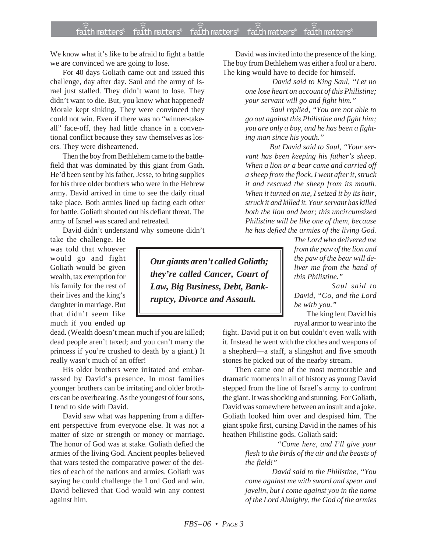We know what it's like to be afraid to fight a battle we are convinced we are going to lose.

For 40 days Goliath came out and issued this challenge, day after day. Saul and the army of Israel just stalled. They didn't want to lose. They didn't want to die. But, you know what happened? Morale kept sinking. They were convinced they could not win. Even if there was no "winner-takeall" face-off, they had little chance in a conventional conflict because they saw themselves as losers. They were disheartened.

Then the boy from Bethlehem came to the battlefield that was dominated by this giant from Gath. He'd been sent by his father, Jesse, to bring supplies for his three older brothers who were in the Hebrew army. David arrived in time to see the daily ritual take place. Both armies lined up facing each other for battle. Goliath shouted out his defiant threat. The army of Israel was scared and retreated.

David didn't understand why someone didn't

take the challenge. He was told that whoever would go and fight Goliath would be given wealth, tax exemption for his family for the rest of their lives and the king's daughter in marriage. But that didn't seem like much if you ended up

dead. (Wealth doesn't mean much if you are killed; dead people aren't taxed; and you can't marry the princess if you're crushed to death by a giant.) It really wasn't much of an offer!

His older brothers were irritated and embarrassed by David's presence. In most families younger brothers can be irritating and older brothers can be overbearing. As the youngest of four sons, I tend to side with David.

David saw what was happening from a different perspective from everyone else. It was not a matter of size or strength or money or marriage. The honor of God was at stake. Goliath defied the armies of the living God. Ancient peoples believed that wars tested the comparative power of the deities of each of the nations and armies. Goliath was saying he could challenge the Lord God and win. David believed that God would win any contest against him.

David was invited into the presence of the king. The boy from Bethlehem was either a fool or a hero. The king would have to decide for himself.

> *David said to King Saul, "Let no one lose heart on account of this Philistine; your servant will go and fight him."*

> *Saul replied, "You are not able to go out against this Philistine and fight him; you are only a boy, and he has been a fighting man since his youth."*

> *But David said to Saul, "Your servant has been keeping his father's sheep. When a lion or a bear came and carried off a sheep from the flock, I went after it, struck it and rescued the sheep from its mouth. When it turned on me, I seized it by its hair, struck it and killed it. Your servant has killed both the lion and bear; this uncircumsized Philistine will be like one of them, because he has defied the armies of the living God.*

*The Lord who delivered me from the paw of the lion and the paw of the bear will deliver me from the hand of this Philistine."*

 *Saul said to David, "Go, and the Lord be with you."*

The king lent David his royal armor to wear into the

fight. David put it on but couldn't even walk with it. Instead he went with the clothes and weapons of a shepherd—a staff, a slingshot and five smooth stones he picked out of the nearby stream.

Then came one of the most memorable and dramatic moments in all of history as young David stepped from the line of Israel's army to confront the giant. It was shocking and stunning. For Goliath, David was somewhere between an insult and a joke. Goliath looked him over and despised him. The giant spoke first, cursing David in the names of his heathen Philistine gods. Goliath said:

> *"Come here, and I'll give your flesh to the birds of the air and the beasts of the field!"*

> *David said to the Philistine, "You come against me with sword and spear and javelin, but I come against you in the name of the Lord Almighty, the God of the armies*

*Our giants aren't called Goliath; they're called Cancer, Court of Law, Big Business, Debt, Bankruptcy, Divorce and Assault.*